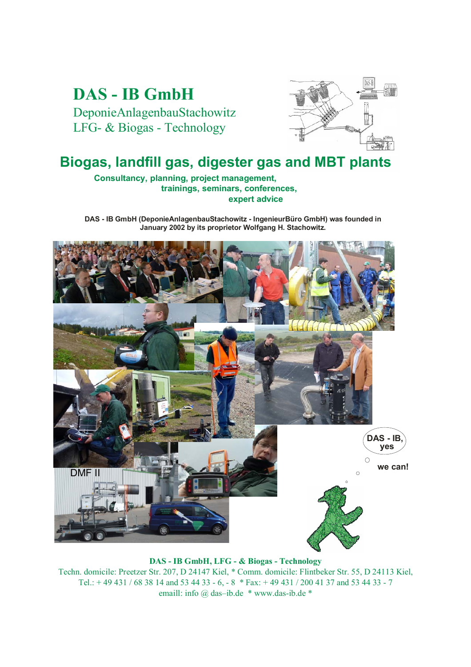**DAS - IB GmbH** DeponieAnlagenbauStachowitz LFG- & Biogas - Technology



# **Biogas, landfill gas, digester gas and MBT plants**

#### **Consultancy, planning, project management, trainings, seminars, conferences, expert advice**

**DAS - IB GmbH (DeponieAnlagenbauStachowitz - IngenieurBüro GmbH) was founded in January 2002 by its proprietor Wolfgang H. Stachowitz.** 



**DAS - IB GmbH, LFG - & Biogas - Technology**

Techn. domicile: Preetzer Str. 207, D 24147 Kiel, \* Comm. domicile: Flintbeker Str. 55, D 24113 Kiel, Tel.: + 49 431 / 68 38 14 and 53 44 33 - 6, - 8 \* Fax: + 49 431 / 200 41 37 and 53 44 33 - 7 emaill: info @ das-ib.de \* www.das-ib.de \*